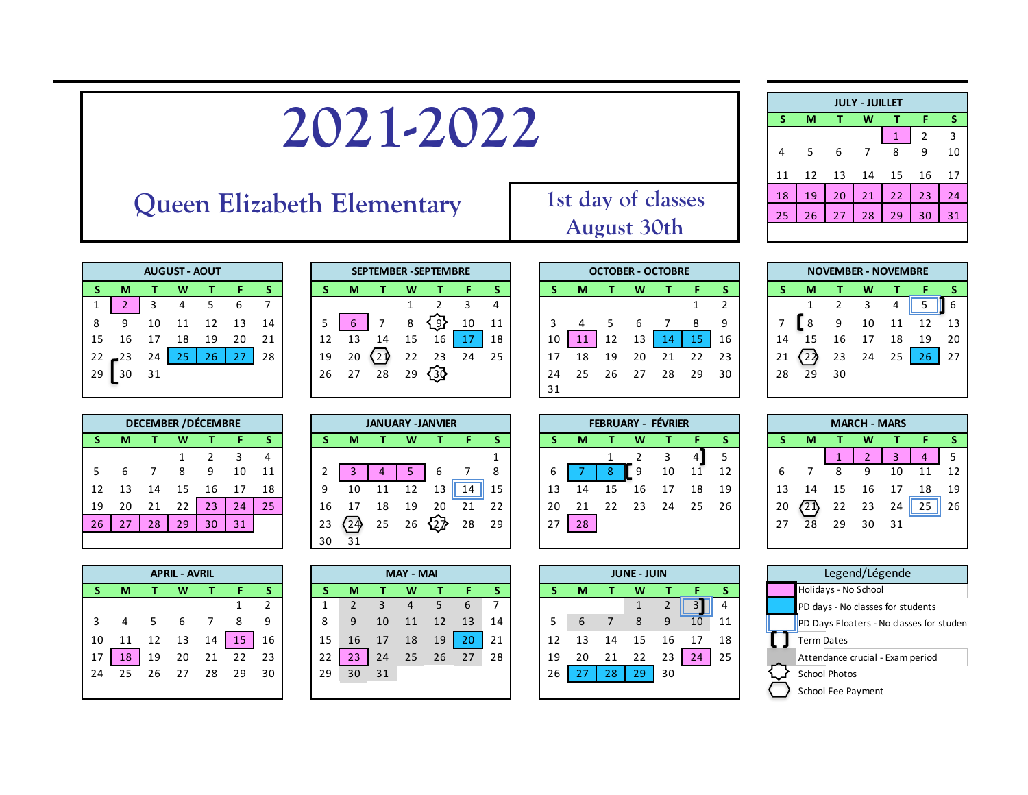## Queen Elizabeth Elementary 1st day of classes

| <b>JULY - JUILLET</b> |    |    |    |              |                |    |  |  |  |  |  |
|-----------------------|----|----|----|--------------|----------------|----|--|--|--|--|--|
| s                     | м  |    | w  | T            | F              | s  |  |  |  |  |  |
|                       |    |    |    | $\mathbf{1}$ | $\overline{2}$ | 3  |  |  |  |  |  |
| 4                     | .5 | 6  | 7  | 8            | 9              | 10 |  |  |  |  |  |
| 11                    | 12 | 13 | 14 | 15           | 16             | 17 |  |  |  |  |  |
| 18                    | 19 | 20 | 21 | 22           | 23             | 24 |  |  |  |  |  |
| 25                    | 26 | 27 | 28 | 29           | 30             | 31 |  |  |  |  |  |
|                       |    |    |    |              |                |    |  |  |  |  |  |

| <b>AUGUST - AOUT</b> |     |    |    |    |    |    |  |  |  |  |  |
|----------------------|-----|----|----|----|----|----|--|--|--|--|--|
| S                    | м   |    | W  |    | F  | s  |  |  |  |  |  |
| 1                    | 2   | 3  | 4  | 5  | 6  |    |  |  |  |  |  |
| 8                    | ٩   | 10 | 11 | 12 | 13 | 14 |  |  |  |  |  |
| 15                   | 16  | 17 | 18 | 19 | 20 | 21 |  |  |  |  |  |
| 22                   | ,23 | 24 | 25 | 26 | 27 | 28 |  |  |  |  |  |
| 29                   | 30  | 31 |    |    |    |    |  |  |  |  |  |

| <b>DECEMBER / DÉCEMBRE</b> |    |    |    |               |    |    |  |  |  |  |  |
|----------------------------|----|----|----|---------------|----|----|--|--|--|--|--|
| S                          | м  |    |    |               |    |    |  |  |  |  |  |
|                            |    |    | 1  | $\mathcal{P}$ | 3  |    |  |  |  |  |  |
| -5                         | 6  | 7  | 8  | ٩             | 10 | 11 |  |  |  |  |  |
| 12                         | 13 | 14 | 15 | 16            | 17 | 18 |  |  |  |  |  |
| 19                         | 20 | 21 | 22 | 23            | 24 | 25 |  |  |  |  |  |
| 26                         | 27 | 28 | 29 | 30            | 31 |    |  |  |  |  |  |
|                            |    |    |    |               |    |    |  |  |  |  |  |

| 19<br>26       | 20<br>27 | 28                      | 22<br>29 | 23 | 24 | 25 |
|----------------|----------|-------------------------|----------|----|----|----|
|                |          | <b>JANUARY -JANVIER</b> |          |    |    |    |
| S              | M        |                         | W        |    | F  | S  |
|                |          |                         |          |    |    | 1  |
| $\overline{2}$ | 3        | 4                       | 5        | 6  |    | 8  |
| 9              | 10       | 11                      | 12       | 13 | 14 | 15 |
|                |          |                         |          |    |    |    |

| $\epsilon$ |                                                                     |  | ັບ |  |  |
|------------|---------------------------------------------------------------------|--|----|--|--|
| 9          |                                                                     |  |    |  |  |
|            | 16 17 18 19 20 21 22                                                |  |    |  |  |
|            | $23\left(24\right)$ 25 26 $\left\{\stackrel{\sim}{2}\right\}$ 28 29 |  |    |  |  |
| 30         |                                                                     |  |    |  |  |
|            |                                                                     |  |    |  |  |

|    |    |    | <b>APRIL - AVRIL</b> |    |    |    |    |    |    | <b>MAY - MAI</b> |    |    |    |    |    |    | <b>JUNE - JUIN</b> |    |    |    |  | Legend/Lég           |
|----|----|----|----------------------|----|----|----|----|----|----|------------------|----|----|----|----|----|----|--------------------|----|----|----|--|----------------------|
| S. | М  |    | w                    |    |    |    |    | M. |    | w                |    |    |    |    | М  |    | w                  |    |    |    |  | Holidays - No School |
|    |    |    |                      |    |    |    |    |    |    |                  |    | h  |    |    |    |    |                    |    |    |    |  | PD days - No classes |
| 3  |    |    |                      |    |    | 9  | Ō  |    | 10 |                  |    | 13 | 14 |    |    |    |                    |    | 10 | 11 |  | PD Days Floaters - N |
| 10 |    |    | 13                   | 14 | 15 | 16 | 15 | 16 | 17 | 18               | 19 | 20 | 21 |    |    |    |                    | 16 | 17 | 18 |  | Term Dates           |
| 17 | 18 | 19 | 20                   | 21 | 22 | 23 | 22 |    | 24 | 25               | 26 | 27 | 28 | 19 | 20 |    |                    | 23 | 24 | 25 |  | Attendance crucial - |
| 24 | 25 | 26 | 27                   | 28 | 29 | 30 | 29 | 30 | 31 |                  |    |    |    | 26 | 27 | 28 | 29                 | 30 |    |    |  | School Photos        |
|    |    |    |                      |    |    |    |    |    |    |                  |    |    |    |    |    |    |                    |    |    |    |  | School Fee Payment   |

|    |    |    | <b>JUNE - JUIN</b> |                |    |    |
|----|----|----|--------------------|----------------|----|----|
| S  | м  |    | w                  | т              | F  | S  |
|    |    |    | 1                  | $\overline{2}$ |    |    |
| 5  | 6  | 7  | 8                  | 9              | 10 | 11 |
| 12 | 13 | 14 | 15                 | 16             | 17 | 18 |
| 19 | 20 | 21 | 22                 | 23             | 24 | 25 |
| 26 | 27 | 28 | 29                 | 30             |    |    |
|    |    |    |                    |                |    |    |

|    | <b>AUGUST - AOUT</b> |    |    |    |               |    |  |    |    |    |    | <b>SEPTEMBER - SEPTEMBRE</b> |    |    |    |    |    | <b>OCTOBER - OCTOBRE</b> |    |    |    |    |    | <b>NOVEMBER - NOVEMBRE</b> |    |    |    |     |
|----|----------------------|----|----|----|---------------|----|--|----|----|----|----|------------------------------|----|----|----|----|----|--------------------------|----|----|----|----|----|----------------------------|----|----|----|-----|
|    | M                    |    | w  |    |               |    |  |    | М  |    |    |                              |    |    |    | м  |    | w                        |    |    |    |    | М  |                            |    |    |    |     |
|    |                      |    |    |    |               |    |  |    |    |    |    |                              |    | 4  |    |    |    |                          |    |    |    |    |    |                            |    |    |    | I 6 |
| 8  | 9                    | 10 | 11 | 12 |               | 14 |  |    |    |    | 8  | ري'                          | 10 | 11 |    |    |    |                          |    | 8  | q  |    | 8  |                            | 10 |    | 12 | 13  |
| Б. | 16                   |    | 18 | 19 | 20            | 21 |  |    | 13 | 14 | 15 | 16                           |    | 18 | 10 |    | 12 | 13                       | 14 |    | 16 | 14 | 15 | 16                         |    | 18 | 19 | 20  |
|    | $22 - 23$            | 24 |    | 26 | $\mathcal{L}$ | 28 |  | 19 | 20 | 21 | 22 | 23                           | 24 | 25 |    | 18 | 19 | 20                       | 21 |    | 23 | 21 | 22 | 23                         | 24 | 25 | 26 | 27  |
| 29 | 30                   | 31 |    |    |               |    |  | 26 | 27 | 28 | 29 | ্ঞ                           |    |    | 24 | 25 | 26 | 27                       | 28 | 29 | 30 | 28 | 29 | 30                         |    |    |    |     |
|    |                      |    |    |    |               |    |  |    |    |    |    |                              |    |    | 31 |    |    |                          |    |    |    |    |    |                            |    |    |    |     |
|    |                      |    |    |    |               |    |  |    |    |    |    |                              |    |    |    |    |    |                          |    |    |    |    |    |                            |    |    |    |     |

|    |    | <b>DECEMBER / DÉCEMBRE</b> |    |    |    |    |  |    |    |    |    | <b>JANUARY -JANVIER</b> |    |    |    |    |    | <b>FEBRUARY - FÉVRIER</b> |    |            |    |    |    |    | <b>MARCH - MARS</b> |    |    |    |
|----|----|----------------------------|----|----|----|----|--|----|----|----|----|-------------------------|----|----|----|----|----|---------------------------|----|------------|----|----|----|----|---------------------|----|----|----|
| S. | м  |                            |    |    |    |    |  |    | М  |    | w  |                         |    |    |    | м  |    |                           |    |            |    |    | м  |    | w                   |    |    |    |
|    |    |                            |    |    |    |    |  |    |    |    |    |                         |    |    |    |    |    |                           |    | <u>д</u> і |    |    |    |    |                     |    |    |    |
|    |    |                            |    | q  | 10 | 11 |  |    |    |    |    |                         |    | Õ  |    |    | 8. | - 9                       | 10 |            | 12 |    |    |    | q                   | 10 |    | 12 |
| L2 |    | 14                         |    | lb |    | 18 |  |    |    |    | 12 |                         | 14 | 15 | 13 |    |    | 16                        |    | 18         | 19 | 13 | 14 |    | 16                  |    | 18 | 19 |
| 19 | 20 | 21                         |    | 23 | 24 | 25 |  | 16 |    | 18 | 19 | 20                      | 21 | 22 | 20 |    | 22 | 23                        | 24 | 25         | 26 | 20 | 21 | 22 | 23                  | 24 | 25 | 26 |
| 26 | 27 | 28                         | 29 | 30 | 31 |    |  | 23 | 24 | 25 | 26 | '2⊉                     | 28 | 29 | っっ | 28 |    |                           |    |            |    | 27 | 28 | 29 | 30                  | 31 |    |    |
|    |    |                            |    |    |    |    |  | 3∩ |    |    |    |                         |    |    |    |    |    |                           |    |            |    |    |    |    |                     |    |    |    |



| OCTORED OCTORD     |  |
|--------------------|--|
|                    |  |
| <b>August 30th</b> |  |
| tot they of the    |  |

| 4                                      |   |
|----------------------------------------|---|
| 12<br>$\overline{1}$<br>10<br>11       |   |
| $\overline{2}$<br>19<br>16<br>17<br>18 |   |
| $26$ 2<br>24<br>25 $\vert$<br>23       |   |
| 30                                     |   |
|                                        |   |
|                                        | w |

| <b>DECEMBER / DÉCEMBRE</b> |    |    |    |     |    | <b>JANUARY -JANVIER</b> |    |    |    |    |    | FEBRUARY - FÉVRIER |    |    |    |    | <b>MARCH - MAR</b> |    |     |    |    |    |    |    |    |
|----------------------------|----|----|----|-----|----|-------------------------|----|----|----|----|----|--------------------|----|----|----|----|--------------------|----|-----|----|----|----|----|----|----|
| S.                         | М  |    | W  |     |    |                         |    | м  |    | w  |    |                    |    |    | м  |    |                    |    |     |    |    | М  |    | W  |    |
|                            |    |    |    |     |    | 4                       |    |    |    |    |    |                    |    |    |    |    |                    |    | 4 I |    |    |    |    |    | 3  |
| $5 -$                      |    |    | 8  | 9   | 10 | 11                      |    |    |    |    | b  |                    | 8  | ь  |    |    | -9                 | 10 |     | 12 |    |    |    | a  | 10 |
| 12                         | 13 | 14 | 15 | L6. |    | 18                      |    | 10 |    | 12 | 13 | 14                 | 15 | 13 | 14 | 15 | 16                 | 17 | 18  | 19 |    | 14 | 15 | 16 | 17 |
| 19                         | 20 | 21 | 22 | 23  | 24 | 25                      | 16 | 17 | 18 | 19 | 20 | 21                 | 22 | 20 | 21 | 22 | 23                 | 24 | 25  | 26 | 20 | 21 | 22 | 23 | 24 |
| 26                         | 27 | 28 | 29 | 30  | 31 |                         | 23 | 24 | 25 | 26 |    | 28                 | 29 | 27 | 28 |    |                    |    |     |    | 27 | 28 | 29 | 30 | 31 |
|                            |    |    |    |     |    |                         | 30 | 31 |    |    |    |                    |    |    |    |    |                    |    |     |    |    |    |    |    |    |

| <b>APRIL - AVRIL</b> |    |     |    |    |    |                |  |  |  |  |  |
|----------------------|----|-----|----|----|----|----------------|--|--|--|--|--|
|                      | м  |     |    |    | F  | S              |  |  |  |  |  |
|                      |    |     |    |    | 1  | $\overline{2}$ |  |  |  |  |  |
| 3                    |    | - 5 | 6  |    | 8  |                |  |  |  |  |  |
| 10                   | 11 | 12  | 13 | 14 | 15 | 16             |  |  |  |  |  |
| 17                   | 18 | 19  | 20 | 21 | 22 | 23             |  |  |  |  |  |
| 24                   | 25 | 26  | 27 | 28 | 29 | 30             |  |  |  |  |  |
|                      |    |     |    |    |    |                |  |  |  |  |  |